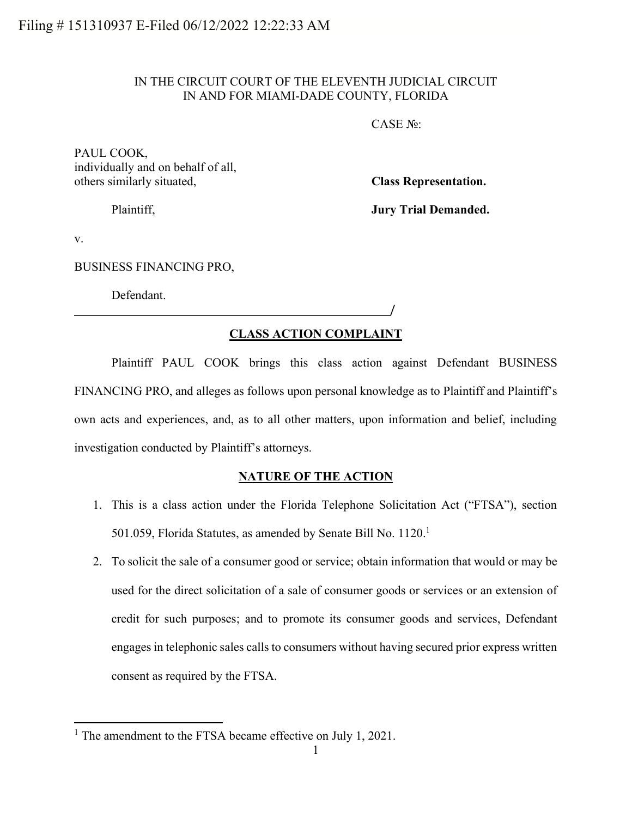## IN THE CIRCUIT COURT OF THE ELEVENTH JUDICIAL CIRCUIT IN AND FOR MIAMI-DADE COUNTY, FLORIDA

CASE №:

/

PAUL COOK, individually and on behalf of all, others similarly situated, **Class Representation.**

Plaintiff, **Jury Trial Demanded.**

v.

BUSINESS FINANCING PRO,

Defendant.

## **CLASS ACTION COMPLAINT**

Plaintiff PAUL COOK brings this class action against Defendant BUSINESS FINANCING PRO, and alleges as follows upon personal knowledge as to Plaintiff and Plaintiff's own acts and experiences, and, as to all other matters, upon information and belief, including investigation conducted by Plaintiff's attorneys.

## **NATURE OF THE ACTION**

- 1. This is a class action under the Florida Telephone Solicitation Act ("FTSA"), section 501.059, Florida Statutes, as amended by Senate Bill No. 1120.<sup>1</sup>
- 2. To solicit the sale of a consumer good or service; obtain information that would or may be used for the direct solicitation of a sale of consumer goods or services or an extension of credit for such purposes; and to promote its consumer goods and services, Defendant engages in telephonic sales calls to consumers without having secured prior express written consent as required by the FTSA.

<sup>&</sup>lt;sup>1</sup> The amendment to the FTSA became effective on July 1, 2021.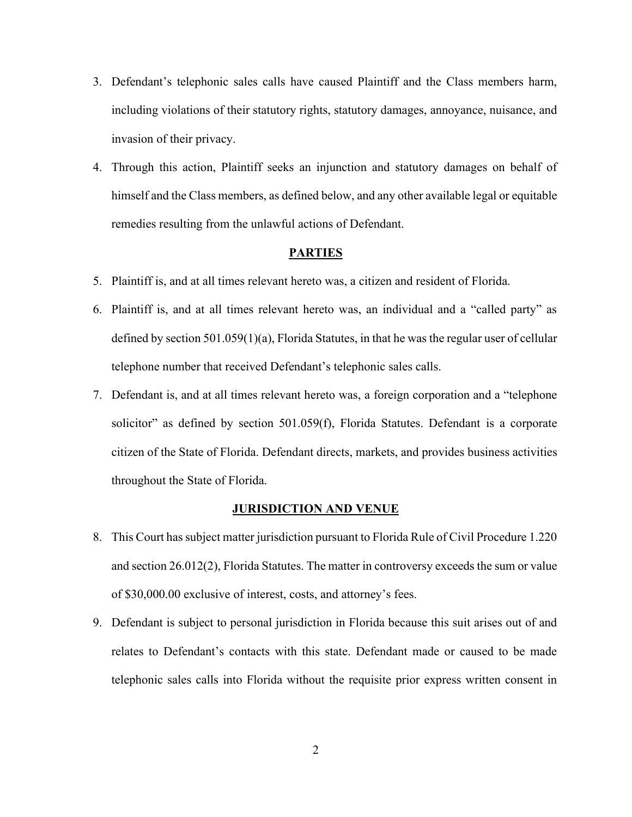- 3. Defendant's telephonic sales calls have caused Plaintiff and the Class members harm, including violations of their statutory rights, statutory damages, annoyance, nuisance, and invasion of their privacy.
- 4. Through this action, Plaintiff seeks an injunction and statutory damages on behalf of himself and the Class members, as defined below, and any other available legal or equitable remedies resulting from the unlawful actions of Defendant.

#### **PARTIES**

- 5. Plaintiff is, and at all times relevant hereto was, a citizen and resident of Florida.
- 6. Plaintiff is, and at all times relevant hereto was, an individual and a "called party" as defined by section 501.059(1)(a), Florida Statutes, in that he was the regular user of cellular telephone number that received Defendant's telephonic sales calls.
- 7. Defendant is, and at all times relevant hereto was, a foreign corporation and a "telephone solicitor" as defined by section 501.059(f), Florida Statutes. Defendant is a corporate citizen of the State of Florida. Defendant directs, markets, and provides business activities throughout the State of Florida.

#### **JURISDICTION AND VENUE**

- 8. This Court has subject matter jurisdiction pursuant to Florida Rule of Civil Procedure 1.220 and section 26.012(2), Florida Statutes. The matter in controversy exceeds the sum or value of \$30,000.00 exclusive of interest, costs, and attorney's fees.
- 9. Defendant is subject to personal jurisdiction in Florida because this suit arises out of and relates to Defendant's contacts with this state. Defendant made or caused to be made telephonic sales calls into Florida without the requisite prior express written consent in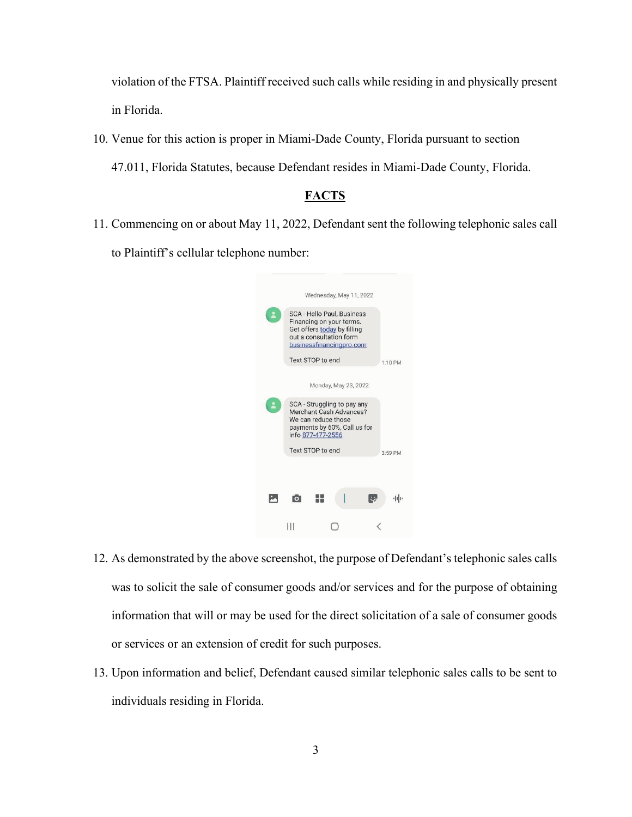violation of the FTSA. Plaintiff received such calls while residing in and physically present in Florida.

10. Venue for this action is proper in Miami-Dade County, Florida pursuant to section 47.011, Florida Statutes, because Defendant resides in Miami-Dade County, Florida.

## **FACTS**

11. Commencing on or about May 11, 2022, Defendant sent the following telephonic sales call to Plaintiff's cellular telephone number:

|                                                                                                                                              |  | Wednesday, May 11, 2022 |    |         |
|----------------------------------------------------------------------------------------------------------------------------------------------|--|-------------------------|----|---------|
| SCA - Hello Paul, Business<br>Financing on your terms.<br>Get offers today by filling<br>out a consultation form<br>businessfinancingpro.com |  |                         |    |         |
| Text STOP to end                                                                                                                             |  |                         |    | 1:10 PM |
|                                                                                                                                              |  | Monday, May 23, 2022    |    |         |
| SCA - Struggling to pay any<br>Merchant Cash Advances?<br>We can reduce those<br>payments by 60%, Call us for<br>info 877-477-2556           |  |                         |    |         |
| Text STOP to end                                                                                                                             |  |                         |    |         |
|                                                                                                                                              |  |                         |    |         |
|                                                                                                                                              |  |                         | U, | 中国      |
|                                                                                                                                              |  |                         |    |         |
|                                                                                                                                              |  |                         |    |         |

- 12. As demonstrated by the above screenshot, the purpose of Defendant's telephonic sales calls was to solicit the sale of consumer goods and/or services and for the purpose of obtaining information that will or may be used for the direct solicitation of a sale of consumer goods or services or an extension of credit for such purposes.
- 13. Upon information and belief, Defendant caused similar telephonic sales calls to be sent to individuals residing in Florida.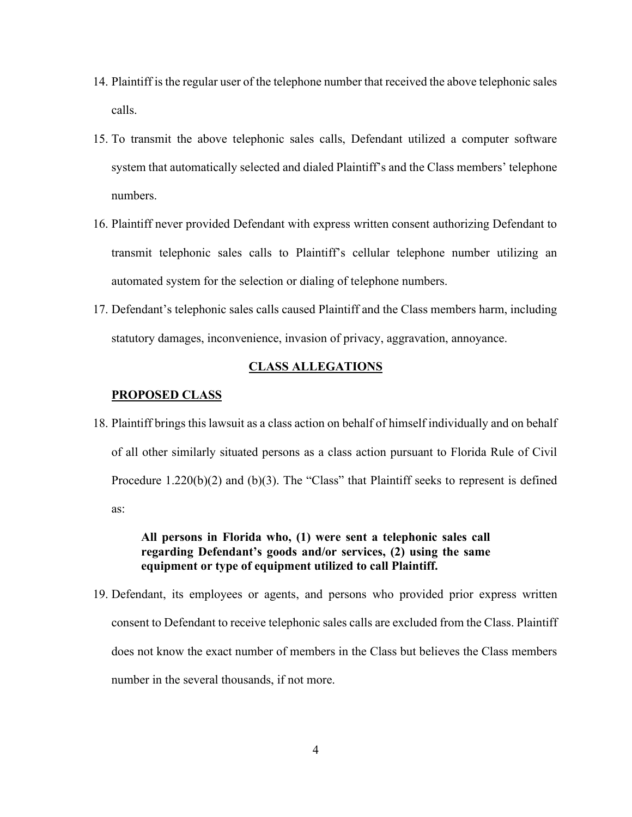- 14. Plaintiff is the regular user of the telephone number that received the above telephonic sales calls.
- 15. To transmit the above telephonic sales calls, Defendant utilized a computer software system that automatically selected and dialed Plaintiff's and the Class members' telephone numbers.
- 16. Plaintiff never provided Defendant with express written consent authorizing Defendant to transmit telephonic sales calls to Plaintiff's cellular telephone number utilizing an automated system for the selection or dialing of telephone numbers.
- 17. Defendant's telephonic sales calls caused Plaintiff and the Class members harm, including statutory damages, inconvenience, invasion of privacy, aggravation, annoyance.

### **CLASS ALLEGATIONS**

#### **PROPOSED CLASS**

18. Plaintiff brings this lawsuit as a class action on behalf of himself individually and on behalf of all other similarly situated persons as a class action pursuant to Florida Rule of Civil Procedure 1.220(b)(2) and (b)(3). The "Class" that Plaintiff seeks to represent is defined as:

## **All persons in Florida who, (1) were sent a telephonic sales call regarding Defendant's goods and/or services, (2) using the same equipment or type of equipment utilized to call Plaintiff.**

19. Defendant, its employees or agents, and persons who provided prior express written consent to Defendant to receive telephonic sales calls are excluded from the Class. Plaintiff does not know the exact number of members in the Class but believes the Class members number in the several thousands, if not more.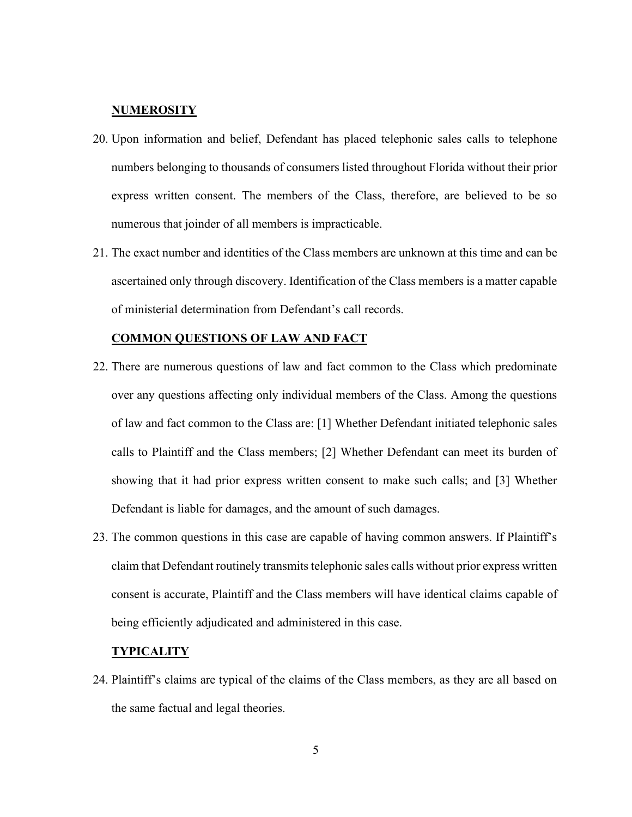### **NUMEROSITY**

- 20. Upon information and belief, Defendant has placed telephonic sales calls to telephone numbers belonging to thousands of consumers listed throughout Florida without their prior express written consent. The members of the Class, therefore, are believed to be so numerous that joinder of all members is impracticable.
- 21. The exact number and identities of the Class members are unknown at this time and can be ascertained only through discovery. Identification of the Class members is a matter capable of ministerial determination from Defendant's call records.

#### **COMMON QUESTIONS OF LAW AND FACT**

- 22. There are numerous questions of law and fact common to the Class which predominate over any questions affecting only individual members of the Class. Among the questions of law and fact common to the Class are: [1] Whether Defendant initiated telephonic sales calls to Plaintiff and the Class members; [2] Whether Defendant can meet its burden of showing that it had prior express written consent to make such calls; and [3] Whether Defendant is liable for damages, and the amount of such damages.
- 23. The common questions in this case are capable of having common answers. If Plaintiff's claim that Defendant routinely transmits telephonic sales calls without prior express written consent is accurate, Plaintiff and the Class members will have identical claims capable of being efficiently adjudicated and administered in this case.

### **TYPICALITY**

24. Plaintiff's claims are typical of the claims of the Class members, as they are all based on the same factual and legal theories.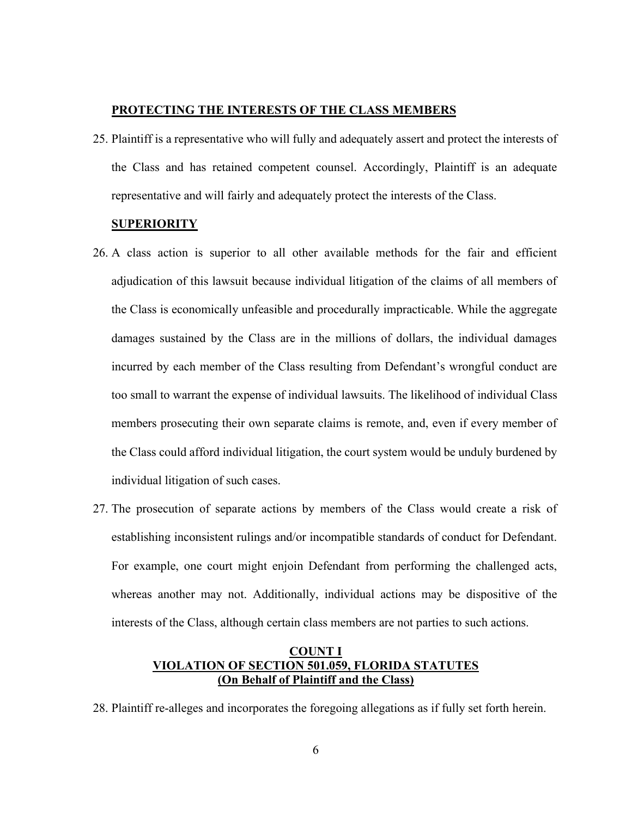### **PROTECTING THE INTERESTS OF THE CLASS MEMBERS**

25. Plaintiff is a representative who will fully and adequately assert and protect the interests of the Class and has retained competent counsel. Accordingly, Plaintiff is an adequate representative and will fairly and adequately protect the interests of the Class.

#### **SUPERIORITY**

- 26. A class action is superior to all other available methods for the fair and efficient adjudication of this lawsuit because individual litigation of the claims of all members of the Class is economically unfeasible and procedurally impracticable. While the aggregate damages sustained by the Class are in the millions of dollars, the individual damages incurred by each member of the Class resulting from Defendant's wrongful conduct are too small to warrant the expense of individual lawsuits. The likelihood of individual Class members prosecuting their own separate claims is remote, and, even if every member of the Class could afford individual litigation, the court system would be unduly burdened by individual litigation of such cases.
- 27. The prosecution of separate actions by members of the Class would create a risk of establishing inconsistent rulings and/or incompatible standards of conduct for Defendant. For example, one court might enjoin Defendant from performing the challenged acts, whereas another may not. Additionally, individual actions may be dispositive of the interests of the Class, although certain class members are not parties to such actions.

## **COUNT I VIOLATION OF SECTION 501.059, FLORIDA STATUTES (On Behalf of Plaintiff and the Class)**

28. Plaintiff re-alleges and incorporates the foregoing allegations as if fully set forth herein.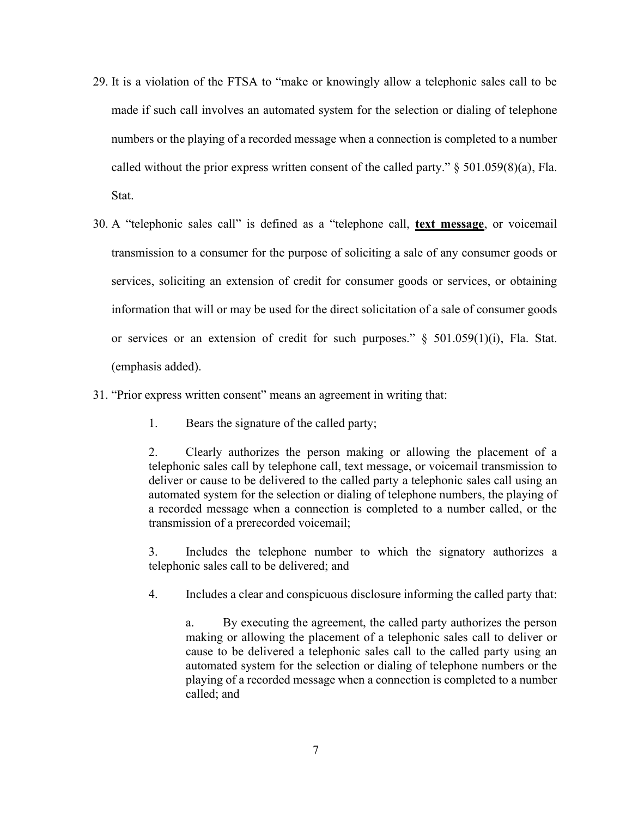- 29. It is a violation of the FTSA to "make or knowingly allow a telephonic sales call to be made if such call involves an automated system for the selection or dialing of telephone numbers or the playing of a recorded message when a connection is completed to a number called without the prior express written consent of the called party."  $\S 501.059(8)(a)$ , Fla. Stat.
- 30. A "telephonic sales call" is defined as a "telephone call, **text message**, or voicemail transmission to a consumer for the purpose of soliciting a sale of any consumer goods or services, soliciting an extension of credit for consumer goods or services, or obtaining information that will or may be used for the direct solicitation of a sale of consumer goods or services or an extension of credit for such purposes." § 501.059(1)(i), Fla. Stat. (emphasis added).
- 31. "Prior express written consent" means an agreement in writing that:
	- 1. Bears the signature of the called party;

2. Clearly authorizes the person making or allowing the placement of a telephonic sales call by telephone call, text message, or voicemail transmission to deliver or cause to be delivered to the called party a telephonic sales call using an automated system for the selection or dialing of telephone numbers, the playing of a recorded message when a connection is completed to a number called, or the transmission of a prerecorded voicemail;

3. Includes the telephone number to which the signatory authorizes a telephonic sales call to be delivered; and

4. Includes a clear and conspicuous disclosure informing the called party that:

a. By executing the agreement, the called party authorizes the person making or allowing the placement of a telephonic sales call to deliver or cause to be delivered a telephonic sales call to the called party using an automated system for the selection or dialing of telephone numbers or the playing of a recorded message when a connection is completed to a number called; and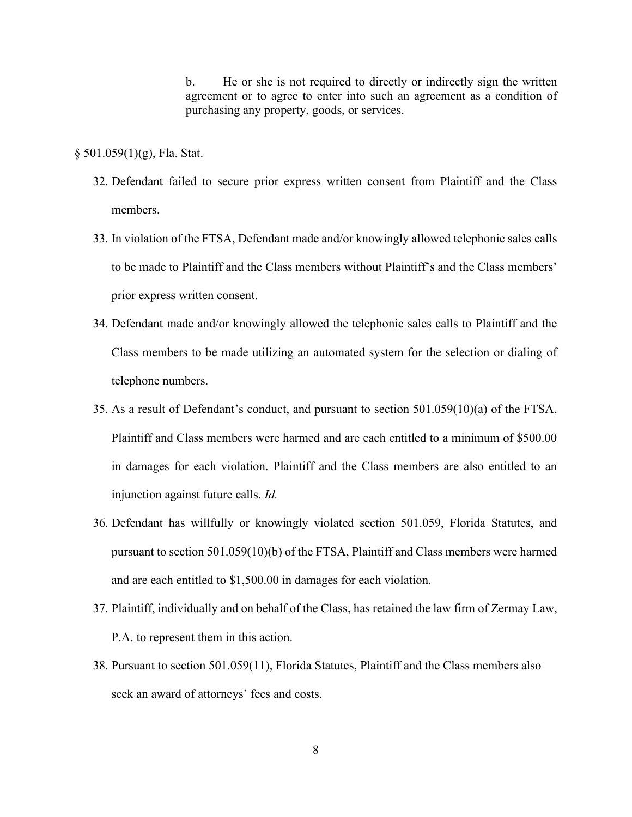b. He or she is not required to directly or indirectly sign the written agreement or to agree to enter into such an agreement as a condition of purchasing any property, goods, or services.

 $§ 501.059(1)(g)$ , Fla. Stat.

- 32. Defendant failed to secure prior express written consent from Plaintiff and the Class members.
- 33. In violation of the FTSA, Defendant made and/or knowingly allowed telephonic sales calls to be made to Plaintiff and the Class members without Plaintiff's and the Class members' prior express written consent.
- 34. Defendant made and/or knowingly allowed the telephonic sales calls to Plaintiff and the Class members to be made utilizing an automated system for the selection or dialing of telephone numbers.
- 35. As a result of Defendant's conduct, and pursuant to section 501.059(10)(a) of the FTSA, Plaintiff and Class members were harmed and are each entitled to a minimum of \$500.00 in damages for each violation. Plaintiff and the Class members are also entitled to an injunction against future calls. *Id.*
- 36. Defendant has willfully or knowingly violated section 501.059, Florida Statutes, and pursuant to section 501.059(10)(b) of the FTSA, Plaintiff and Class members were harmed and are each entitled to \$1,500.00 in damages for each violation.
- 37. Plaintiff, individually and on behalf of the Class, has retained the law firm of Zermay Law, P.A. to represent them in this action.
- 38. Pursuant to section 501.059(11), Florida Statutes, Plaintiff and the Class members also seek an award of attorneys' fees and costs.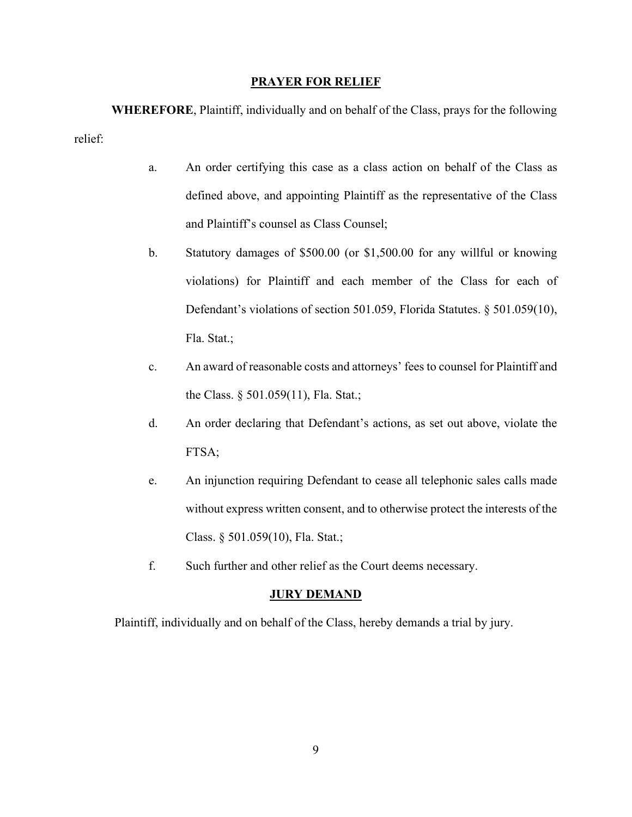#### **PRAYER FOR RELIEF**

**WHEREFORE**, Plaintiff, individually and on behalf of the Class, prays for the following relief:

- a. An order certifying this case as a class action on behalf of the Class as defined above, and appointing Plaintiff as the representative of the Class and Plaintiff's counsel as Class Counsel;
- b. Statutory damages of \$500.00 (or \$1,500.00 for any willful or knowing violations) for Plaintiff and each member of the Class for each of Defendant's violations of section 501.059, Florida Statutes. § 501.059(10), Fla. Stat.;
- c. An award of reasonable costs and attorneys' fees to counsel for Plaintiff and the Class. § 501.059(11), Fla. Stat.;
- d. An order declaring that Defendant's actions, as set out above, violate the FTSA;
- e. An injunction requiring Defendant to cease all telephonic sales calls made without express written consent, and to otherwise protect the interests of the Class. § 501.059(10), Fla. Stat.;
- f. Such further and other relief as the Court deems necessary.

### **JURY DEMAND**

Plaintiff, individually and on behalf of the Class, hereby demands a trial by jury.